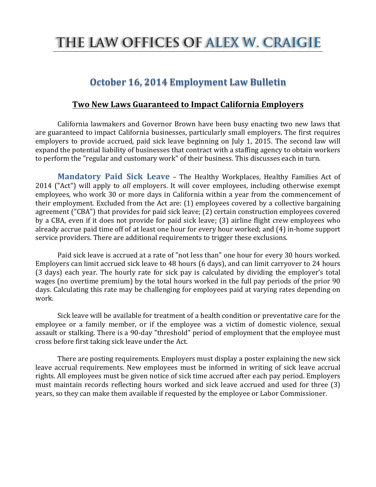## THE LAW OFFICES OF ALEX W. CRAIGIE

## **October 16, 2014 Employment Law Bulletin**

## **Two New Laws Guaranteed to Impact California Employers**

California lawmakers and Governor Brown have been busy enacting two new laws that are guaranteed to impact California businesses, particularly small employers. The first requires employers to provide accrued, paid sick leave beginning on July 1, 2015. The second law will expand the potential liability of businesses that contract with a staffing agency to obtain workers to perform the "regular and customary work" of their business. This discusses each in turn.

**Mandatory Paid Sick Leave** – The Healthy Workplaces, Healthy Families Act of 2014 ("Act") will apply to *all* employers. It will cover employees, including otherwise exempt employees, who work 30 or more days in California within a year from the commencement of their employment. Excluded from the Act are:  $(1)$  employees covered by a collective bargaining agreement ("CBA") that provides for paid sick leave; (2) certain construction employees covered by a CBA, even if it does not provide for paid sick leave; (3) airline flight crew employees who already accrue paid time off of at least one hour for every hour worked; and (4) in-home support service providers. There are additional requirements to trigger these exclusions.

Paid sick leave is accrued at a rate of "not less than" one hour for every 30 hours worked. Employers can limit accrued sick leave to 48 hours (6 days), and can limit carryover to 24 hours (3 days) each year. The hourly rate for sick pay is calculated by dividing the employer's total wages (no overtime premium) by the total hours worked in the full pay periods of the prior 90 days. Calculating this rate may be challenging for employees paid at varying rates depending on work.

Sick leave will be available for treatment of a health condition or preventative care for the employee or a family member, or if the employee was a victim of domestic violence, sexual assault or stalking. There is a 90-day "threshold" period of employment that the employee must cross before first taking sick leave under the Act.

There are posting requirements. Employers must display a poster explaining the new sick leave accrual requirements. New employees must be informed in writing of sick leave accrual rights. All employees must be given notice of sick time accrued after each pay period. Employers must maintain records reflecting hours worked and sick leave accrued and used for three (3) years, so they can make them available if requested by the employee or Labor Commissioner.